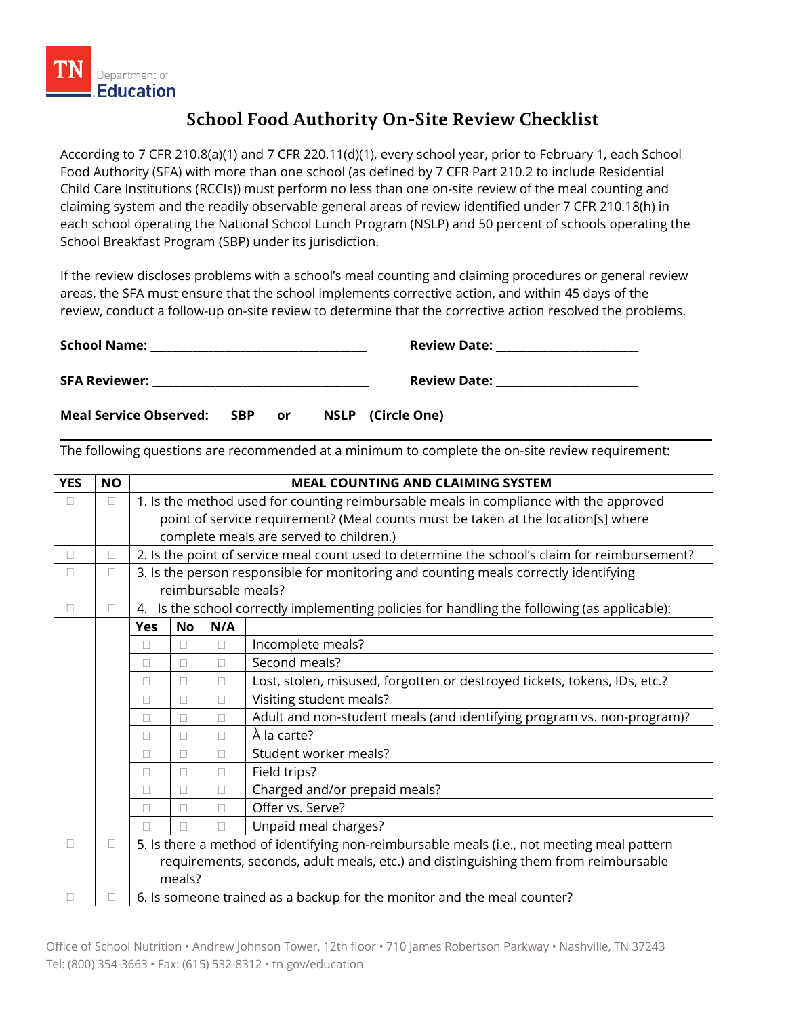

## **School Food Authority On-Site Review Checklist**

According to 7 CFR 210.8(a)(1) and 7 CFR 220.11(d)(1), every school year, prior to February 1, each School Food Authority (SFA) with more than one school (as defined by 7 CFR Part 210.2 to include Residential Child Care Institutions (RCCIs)) must perform no less than one on-site review of the meal counting and claiming system and the readily observable general areas of review identified under 7 CFR 210.18(h) in each school operating the National School Lunch Program (NSLP) and 50 percent of schools operating the School Breakfast Program (SBP) under its jurisdiction.

If the review discloses problems with a school's meal counting and claiming procedures or general review areas, the SFA must ensure that the school implements corrective action, and within 45 days of the review, conduct a follow-up on-site review to determine that the corrective action resolved the problems.

| <b>School Name:</b>           |            |    | <b>Review Date:</b> |  |
|-------------------------------|------------|----|---------------------|--|
| <b>SFA Reviewer:</b>          |            |    | <b>Review Date:</b> |  |
| <b>Meal Service Observed:</b> | <b>SBP</b> | or | NSLP (Circle One)   |  |

The following questions are recommended at a minimum to complete the on-site review requirement:

| <b>YES</b> | <b>NO</b> |            |           |     | <b>MEAL COUNTING AND CLAIMING SYSTEM</b>                                                      |
|------------|-----------|------------|-----------|-----|-----------------------------------------------------------------------------------------------|
| П          | $\Box$    |            |           |     | 1. Is the method used for counting reimbursable meals in compliance with the approved         |
|            |           |            |           |     | point of service requirement? (Meal counts must be taken at the location[s] where             |
|            |           |            |           |     | complete meals are served to children.)                                                       |
| П          | $\Box$    |            |           |     | 2. Is the point of service meal count used to determine the school's claim for reimbursement? |
| П          | $\Box$    |            |           |     | 3. Is the person responsible for monitoring and counting meals correctly identifying          |
|            |           |            |           |     | reimbursable meals?                                                                           |
| П.         | $\Box$    | 4.         |           |     | Is the school correctly implementing policies for handling the following (as applicable):     |
|            |           | <b>Yes</b> | <b>No</b> | N/A |                                                                                               |
|            |           | П          |           | П   | Incomplete meals?                                                                             |
|            |           | П          | П         | П   | Second meals?                                                                                 |
|            |           | П          | П         | П   | Lost, stolen, misused, forgotten or destroyed tickets, tokens, IDs, etc.?                     |
|            |           | П          | П         | П   | Visiting student meals?                                                                       |
|            |           | П          |           | П   | Adult and non-student meals (and identifying program vs. non-program)?                        |
|            |           | $\Box$     | П         | П   | À la carte?                                                                                   |
|            |           | $\Box$     | П         | Ш   | Student worker meals?                                                                         |
|            |           | П          | П         | П   | Field trips?                                                                                  |
|            |           | П          |           | П   | Charged and/or prepaid meals?                                                                 |
|            |           | O          |           | П   | Offer vs. Serve?                                                                              |
|            |           |            |           |     | Unpaid meal charges?                                                                          |
| П.         | $\Box$    |            |           |     | 5. Is there a method of identifying non-reimbursable meals (i.e., not meeting meal pattern    |
|            |           |            |           |     | requirements, seconds, adult meals, etc.) and distinguishing them from reimbursable           |
|            |           |            | meals?    |     |                                                                                               |
|            | □         |            |           |     | 6. Is someone trained as a backup for the monitor and the meal counter?                       |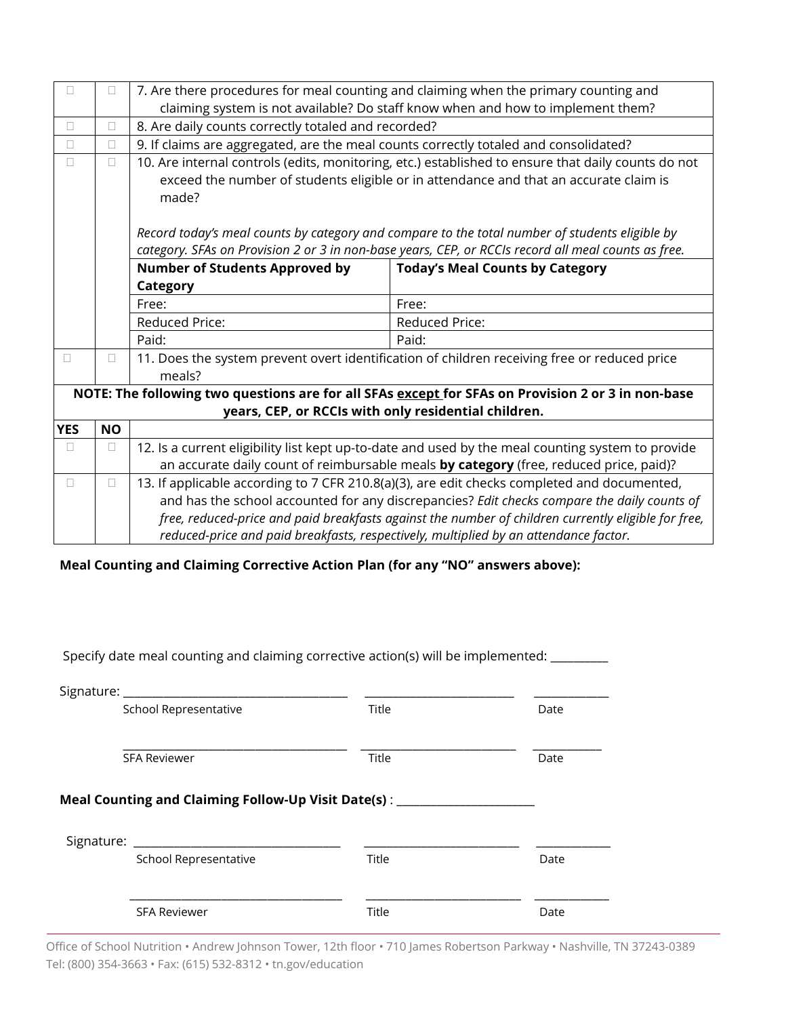| $\Box$     | $\Box$    |                                                                                      | 7. Are there procedures for meal counting and claiming when the primary counting and                |
|------------|-----------|--------------------------------------------------------------------------------------|-----------------------------------------------------------------------------------------------------|
|            |           |                                                                                      | claiming system is not available? Do staff know when and how to implement them?                     |
| $\Box$     | $\Box$    | 8. Are daily counts correctly totaled and recorded?                                  |                                                                                                     |
| $\Box$     | $\Box$    | 9. If claims are aggregated, are the meal counts correctly totaled and consolidated? |                                                                                                     |
| $\Box$     | $\Box$    |                                                                                      | 10. Are internal controls (edits, monitoring, etc.) established to ensure that daily counts do not  |
|            |           |                                                                                      | exceed the number of students eligible or in attendance and that an accurate claim is               |
|            |           | made?                                                                                |                                                                                                     |
|            |           |                                                                                      |                                                                                                     |
|            |           |                                                                                      | Record today's meal counts by category and compare to the total number of students eligible by      |
|            |           |                                                                                      | category. SFAs on Provision 2 or 3 in non-base years, CEP, or RCCIs record all meal counts as free. |
|            |           | <b>Number of Students Approved by</b>                                                | <b>Today's Meal Counts by Category</b>                                                              |
|            |           | Category                                                                             |                                                                                                     |
|            |           | Free:                                                                                | Free:                                                                                               |
|            |           | <b>Reduced Price:</b>                                                                | <b>Reduced Price:</b>                                                                               |
|            |           | Paid:                                                                                | Paid:                                                                                               |
| П          | $\Box$    |                                                                                      | 11. Does the system prevent overt identification of children receiving free or reduced price        |
|            |           | meals?                                                                               |                                                                                                     |
|            |           |                                                                                      | NOTE: The following two questions are for all SFAs except for SFAs on Provision 2 or 3 in non-base  |
|            |           | years, CEP, or RCCIs with only residential children.                                 |                                                                                                     |
| <b>YES</b> | <b>NO</b> |                                                                                      |                                                                                                     |
| $\Box$     | $\Box$    |                                                                                      | 12. Is a current eligibility list kept up-to-date and used by the meal counting system to provide   |
|            |           |                                                                                      | an accurate daily count of reimbursable meals by category (free, reduced price, paid)?              |
| $\Box$     | $\Box$    |                                                                                      | 13. If applicable according to 7 CFR 210.8(a)(3), are edit checks completed and documented,         |
|            |           |                                                                                      | and has the school accounted for any discrepancies? Edit checks compare the daily counts of         |
|            |           |                                                                                      | free, reduced-price and paid breakfasts against the number of children currently eligible for free, |
|            |           |                                                                                      | reduced-price and paid breakfasts, respectively, multiplied by an attendance factor.                |

 **Meal Counting and Claiming Corrective Action Plan (for any "NO" answers above):**

Specify date meal counting and claiming corrective action(s) will be implemented: \_\_\_\_\_\_\_\_

| School Representative                                                                                              | Title | Date |
|--------------------------------------------------------------------------------------------------------------------|-------|------|
| <b>SFA Reviewer</b>                                                                                                | Title | Date |
|                                                                                                                    |       |      |
|                                                                                                                    |       |      |
| Meal Counting and Claiming Follow-Up Visit Date(s): _______________________<br>Signature:<br>School Representative | Title | Date |

Office of School Nutrition • Andrew Johnson Tower, 12th floor • 710 James Robertson Parkway • Nashville, TN 37243-0389 Tel: (800) 354-3663 • Fax: (615) 532-8312 • tn.gov/education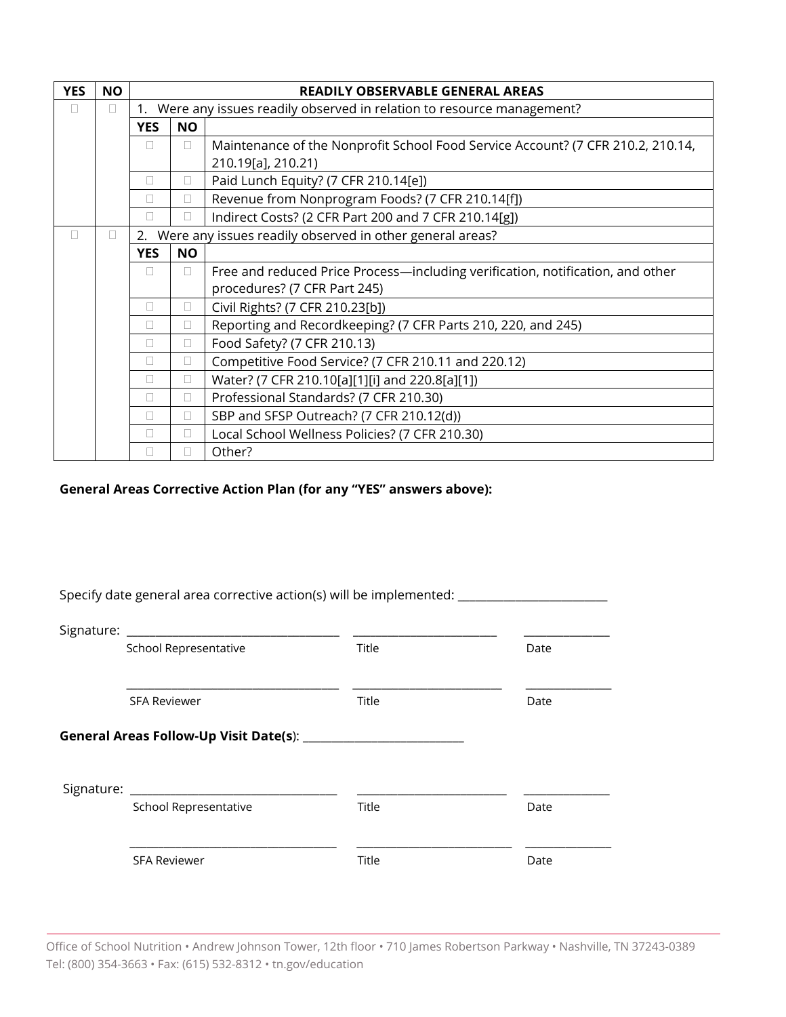| <b>YES</b> | <b>NO</b>    |              |           | READILY OBSERVABLE GENERAL AREAS                                                |
|------------|--------------|--------------|-----------|---------------------------------------------------------------------------------|
| П          | П            | $1_{\cdot}$  |           | Were any issues readily observed in relation to resource management?            |
|            |              | <b>YES</b>   | <b>NO</b> |                                                                                 |
|            |              |              | Ш         | Maintenance of the Nonprofit School Food Service Account? (7 CFR 210.2, 210.14, |
|            |              |              |           | 210.19[a], 210.21)                                                              |
|            |              | П            | □         | Paid Lunch Equity? (7 CFR 210.14[e])                                            |
|            |              |              | П         | Revenue from Nonprogram Foods? (7 CFR 210.14[f])                                |
|            |              |              | Ш         | Indirect Costs? (2 CFR Part 200 and 7 CFR 210.14[g])                            |
| П          | $\mathbf{L}$ |              |           | 2. Were any issues readily observed in other general areas?                     |
|            |              | <b>YES</b>   | <b>NO</b> |                                                                                 |
|            |              | $\Box$       | П         | Free and reduced Price Process—including verification, notification, and other  |
|            |              |              |           | procedures? (7 CFR Part 245)                                                    |
|            |              | П            | □         | Civil Rights? (7 CFR 210.23[b])                                                 |
|            |              | П            | $\Box$    | Reporting and Recordkeeping? (7 CFR Parts 210, 220, and 245)                    |
|            |              | П            | $\Box$    | Food Safety? (7 CFR 210.13)                                                     |
|            |              | П            | П         | Competitive Food Service? (7 CFR 210.11 and 220.12)                             |
|            |              | П            | □         | Water? (7 CFR 210.10[a][1][i] and 220.8[a][1])                                  |
|            |              | $\mathbf{L}$ | П         | Professional Standards? (7 CFR 210.30)                                          |
|            |              | П            | П         | SBP and SFSP Outreach? (7 CFR 210.12(d))                                        |
|            |              | П            | П         | Local School Wellness Policies? (7 CFR 210.30)                                  |
|            |              |              | Ш         | Other?                                                                          |

## **General Areas Corrective Action Plan (for any "YES" answers above):**

| School Representative | <b>Title</b> | Date |
|-----------------------|--------------|------|
| <b>SFA Reviewer</b>   | Title        | Date |
|                       |              |      |
|                       |              |      |
| Signature: Signature: |              |      |
| School Representative | <b>Title</b> | Date |